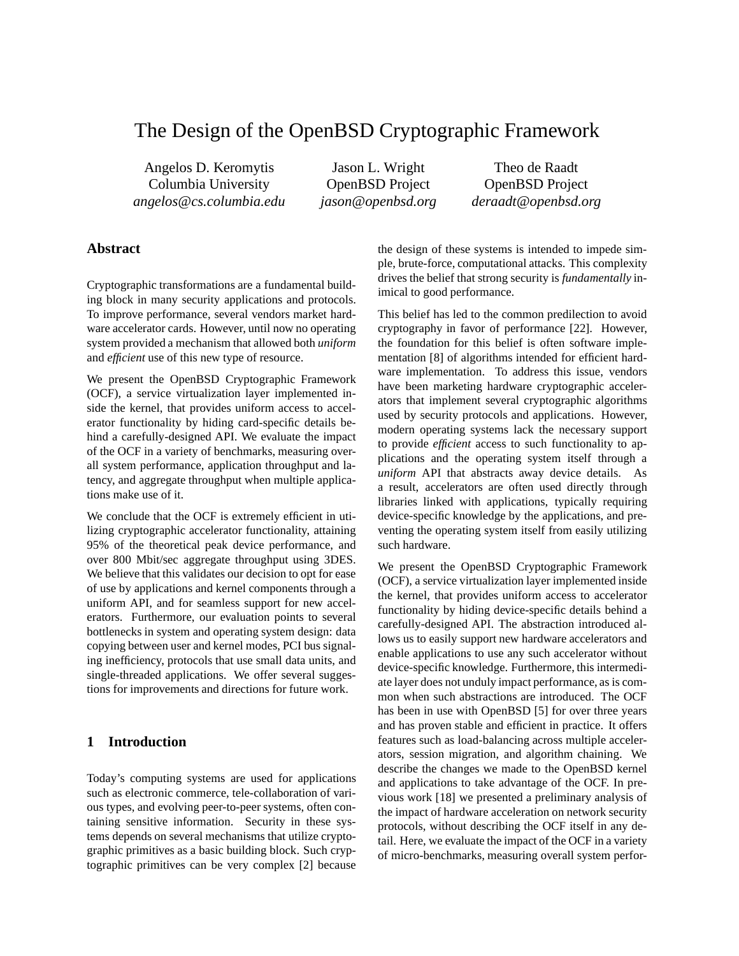# The Design of the OpenBSD Cryptographic Framework

Angelos D. Keromytis Columbia University *angelos@cs.columbia.edu*

Jason L. Wright OpenBSD Project *jason@openbsd.org*

Theo de Raadt OpenBSD Project *deraadt@openbsd.org*

# **Abstract**

Cryptographic transformations are a fundamental building block in many security applications and protocols. To improve performance, several vendors market hardware accelerator cards. However, until now no operating system provided a mechanism that allowed both *uniform* and *efficient* use of this new type of resource.

We present the OpenBSD Cryptographic Framework (OCF), a service virtualization layer implemented inside the kernel, that provides uniform access to accelerator functionality by hiding card-specific details behind a carefully-designed API. We evaluate the impact of the OCF in a variety of benchmarks, measuring overall system performance, application throughput and latency, and aggregate throughput when multiple applications make use of it.

We conclude that the OCF is extremely efficient in utilizing cryptographic accelerator functionality, attaining 95% of the theoretical peak device performance, and over 800 Mbit/sec aggregate throughput using 3DES. We believe that this validates our decision to opt for ease of use by applications and kernel components through a uniform API, and for seamless support for new accelerators. Furthermore, our evaluation points to several bottlenecks in system and operating system design: data copying between user and kernel modes, PCI bus signaling inefficiency, protocols that use small data units, and single-threaded applications. We offer several suggestions for improvements and directions for future work.

# **1 Introduction**

Today's computing systems are used for applications such as electronic commerce, tele-collaboration of various types, and evolving peer-to-peer systems, often containing sensitive information. Security in these systems depends on several mechanisms that utilize cryptographic primitives as a basic building block. Such cryptographic primitives can be very complex [2] because the design of these systems is intended to impede simple, brute-force, computational attacks. This complexity drives the belief that strong security is *fundamentally* inimical to good performance.

This belief has led to the common predilection to avoid cryptography in favor of performance [22]. However, the foundation for this belief is often software implementation [8] of algorithms intended for efficient hardware implementation. To address this issue, vendors have been marketing hardware cryptographic accelerators that implement several cryptographic algorithms used by security protocols and applications. However, modern operating systems lack the necessary support to provide *efficient* access to such functionality to applications and the operating system itself through a *uniform* API that abstracts away device details. As a result, accelerators are often used directly through libraries linked with applications, typically requiring device-specific knowledge by the applications, and preventing the operating system itself from easily utilizing such hardware.

We present the OpenBSD Cryptographic Framework (OCF), a service virtualization layer implemented inside the kernel, that provides uniform access to accelerator functionality by hiding device-specific details behind a carefully-designed API. The abstraction introduced allows us to easily support new hardware accelerators and enable applications to use any such accelerator without device-specific knowledge. Furthermore, this intermediate layer does not unduly impact performance, as is common when such abstractions are introduced. The OCF has been in use with OpenBSD [5] for over three years and has proven stable and efficient in practice. It offers features such as load-balancing across multiple accelerators, session migration, and algorithm chaining. We describe the changes we made to the OpenBSD kernel and applications to take advantage of the OCF. In previous work [18] we presented a preliminary analysis of the impact of hardware acceleration on network security protocols, without describing the OCF itself in any detail. Here, we evaluate the impact of the OCF in a variety of micro-benchmarks, measuring overall system perfor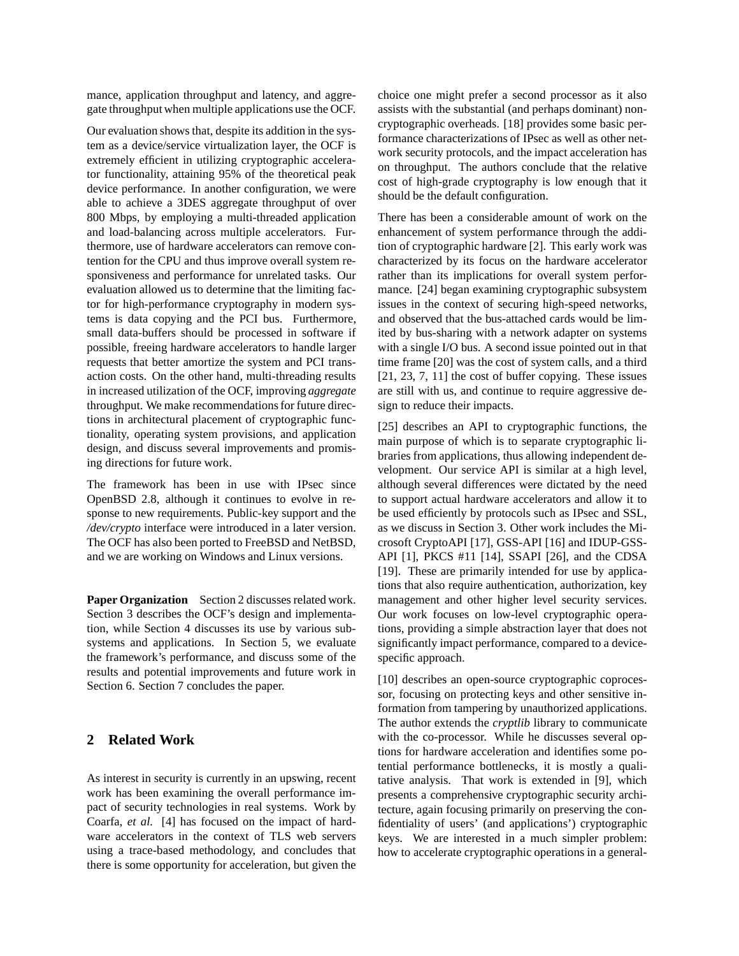mance, application throughput and latency, and aggregate throughput when multiple applications use the OCF.

Our evaluation shows that, despite its addition in the system as a device/service virtualization layer, the OCF is extremely efficient in utilizing cryptographic accelerator functionality, attaining 95% of the theoretical peak device performance. In another configuration, we were able to achieve a 3DES aggregate throughput of over 800 Mbps, by employing a multi-threaded application and load-balancing across multiple accelerators. Furthermore, use of hardware accelerators can remove contention for the CPU and thus improve overall system responsiveness and performance for unrelated tasks. Our evaluation allowed us to determine that the limiting factor for high-performance cryptography in modern systems is data copying and the PCI bus. Furthermore, small data-buffers should be processed in software if possible, freeing hardware accelerators to handle larger requests that better amortize the system and PCI transaction costs. On the other hand, multi-threading results in increased utilization of the OCF, improving *aggregate* throughput. We make recommendations for future directions in architectural placement of cryptographic functionality, operating system provisions, and application design, and discuss several improvements and promising directions for future work.

The framework has been in use with IPsec since OpenBSD 2.8, although it continues to evolve in response to new requirements. Public-key support and the */dev/crypto* interface were introduced in a later version. The OCF has also been ported to FreeBSD and NetBSD, and we are working on Windows and Linux versions.

**Paper Organization** Section 2 discusses related work. Section 3 describes the OCF's design and implementation, while Section 4 discusses its use by various subsystems and applications. In Section 5, we evaluate the framework's performance, and discuss some of the results and potential improvements and future work in Section 6. Section 7 concludes the paper.

# **2 Related Work**

As interest in security is currently in an upswing, recent work has been examining the overall performance impact of security technologies in real systems. Work by Coarfa, *et al.* [4] has focused on the impact of hardware accelerators in the context of TLS web servers using a trace-based methodology, and concludes that there is some opportunity for acceleration, but given the choice one might prefer a second processor as it also assists with the substantial (and perhaps dominant) noncryptographic overheads. [18] provides some basic performance characterizations of IPsec as well as other network security protocols, and the impact acceleration has on throughput. The authors conclude that the relative cost of high-grade cryptography is low enough that it should be the default configuration.

There has been a considerable amount of work on the enhancement of system performance through the addition of cryptographic hardware [2]. This early work was characterized by its focus on the hardware accelerator rather than its implications for overall system performance. [24] began examining cryptographic subsystem issues in the context of securing high-speed networks, and observed that the bus-attached cards would be limited by bus-sharing with a network adapter on systems with a single I/O bus. A second issue pointed out in that time frame [20] was the cost of system calls, and a third [21, 23, 7, 11] the cost of buffer copying. These issues are still with us, and continue to require aggressive design to reduce their impacts.

[25] describes an API to cryptographic functions, the main purpose of which is to separate cryptographic libraries from applications, thus allowing independent development. Our service API is similar at a high level, although several differences were dictated by the need to support actual hardware accelerators and allow it to be used efficiently by protocols such as IPsec and SSL, as we discuss in Section 3. Other work includes the Microsoft CryptoAPI [17], GSS-API [16] and IDUP-GSS-API [1], PKCS #11 [14], SSAPI [26], and the CDSA [19]. These are primarily intended for use by applications that also require authentication, authorization, key management and other higher level security services. Our work focuses on low-level cryptographic operations, providing a simple abstraction layer that does not significantly impact performance, compared to a devicespecific approach.

[10] describes an open-source cryptographic coprocessor, focusing on protecting keys and other sensitive information from tampering by unauthorized applications. The author extends the *cryptlib* library to communicate with the co-processor. While he discusses several options for hardware acceleration and identifies some potential performance bottlenecks, it is mostly a qualitative analysis. That work is extended in [9], which presents a comprehensive cryptographic security architecture, again focusing primarily on preserving the confidentiality of users' (and applications') cryptographic keys. We are interested in a much simpler problem: how to accelerate cryptographic operations in a general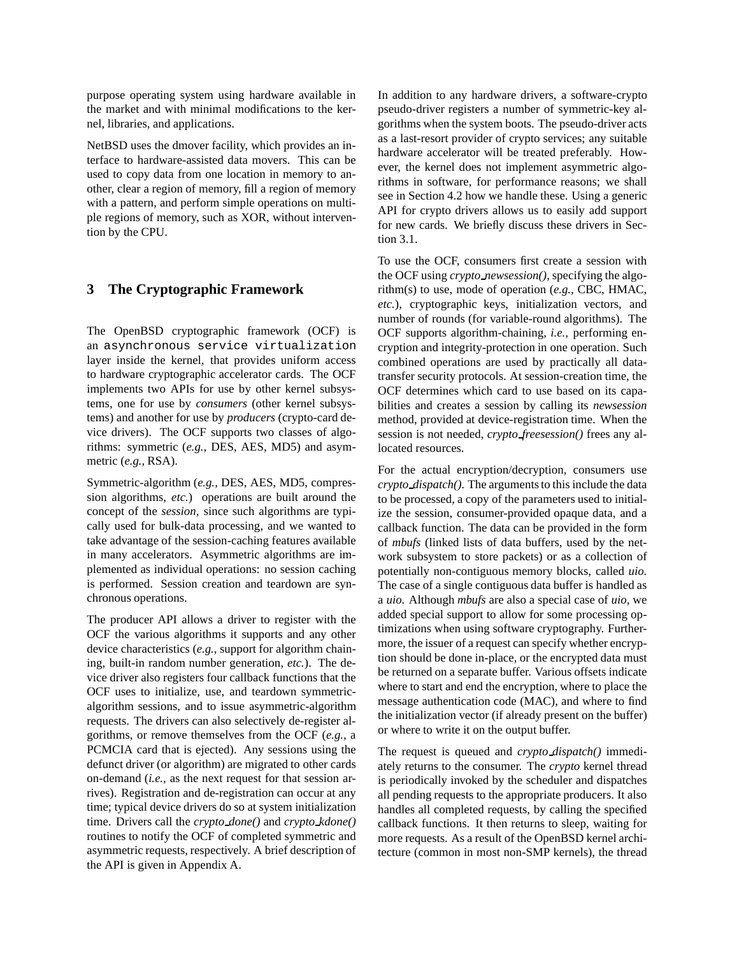purpose operating system using hardware available in the market and with minimal modifications to the kernel, libraries, and applications.

NetBSD uses the dmover facility, which provides an interface to hardware-assisted data movers. This can be used to copy data from one location in memory to another, clear a region of memory, fill a region of memory with a pattern, and perform simple operations on multiple regions of memory, such as XOR, without intervention by the CPU.

# **3 The Cryptographic Framework**

The OpenBSD cryptographic framework (OCF) is an asynchronous service virtualization layer inside the kernel, that provides uniform access to hardware cryptographic accelerator cards. The OCF implements two APIs for use by other kernel subsystems, one for use by *consumers* (other kernel subsystems) and another for use by *producers* (crypto-card device drivers). The OCF supports two classes of algorithms: symmetric (*e.g.,* DES, AES, MD5) and asymmetric (*e.g.,* RSA).

Symmetric-algorithm (*e.g.,* DES, AES, MD5, compression algorithms, *etc.*) operations are built around the concept of the *session,* since such algorithms are typically used for bulk-data processing, and we wanted to take advantage of the session-caching features available in many accelerators. Asymmetric algorithms are implemented as individual operations: no session caching is performed. Session creation and teardown are synchronous operations.

The producer API allows a driver to register with the OCF the various algorithms it supports and any other device characteristics (*e.g.,* support for algorithm chaining, built-in random number generation, *etc.*). The device driver also registers four callback functions that the OCF uses to initialize, use, and teardown symmetricalgorithm sessions, and to issue asymmetric-algorithm requests. The drivers can also selectively de-register algorithms, or remove themselves from the OCF (*e.g.,* a PCMCIA card that is ejected). Any sessions using the defunct driver (or algorithm) are migrated to other cards on-demand (*i.e.,* as the next request for that session arrives). Registration and de-registration can occur at any time; typical device drivers do so at system initialization time. Drivers call the *crypto done()* and *crypto kdone()* routines to notify the OCF of completed symmetric and asymmetric requests, respectively. A brief description of the API is given in Appendix A.

In addition to any hardware drivers, a software-crypto pseudo-driver registers a number of symmetric-key algorithms when the system boots. The pseudo-driver acts as a last-resort provider of crypto services; any suitable hardware accelerator will be treated preferably. However, the kernel does not implement asymmetric algorithms in software, for performance reasons; we shall see in Section 4.2 how we handle these. Using a generic API for crypto drivers allows us to easily add support for new cards. We briefly discuss these drivers in Section 3.1.

To use the OCF, consumers first create a session with the OCF using *crypto newsession()*, specifying the algorithm(s) to use, mode of operation (*e.g.,* CBC, HMAC, *etc.*), cryptographic keys, initialization vectors, and number of rounds (for variable-round algorithms). The OCF supports algorithm-chaining, *i.e.,* performing encryption and integrity-protection in one operation. Such combined operations are used by practically all datatransfer security protocols. At session-creation time, the OCF determines which card to use based on its capabilities and creates a session by calling its *newsession* method, provided at device-registration time. When the session is not needed, *crypto freesession()* frees any allocated resources.

For the actual encryption/decryption, consumers use *crypto\_dispatch()*. The arguments to this include the data to be processed, a copy of the parameters used to initialize the session, consumer-provided opaque data, and a callback function. The data can be provided in the form of *mbufs* (linked lists of data buffers, used by the network subsystem to store packets) or as a collection of potentially non-contiguous memory blocks, called *uio.* The case of a single contiguous data buffer is handled as a *uio.* Although *mbufs* are also a special case of *uio,* we added special support to allow for some processing optimizations when using software cryptography. Furthermore, the issuer of a request can specify whether encryption should be done in-place, or the encrypted data must be returned on a separate buffer. Various offsets indicate where to start and end the encryption, where to place the message authentication code (MAC), and where to find the initialization vector (if already present on the buffer) or where to write it on the output buffer.

The request is queued and *crypto dispatch()* immediately returns to the consumer. The *crypto* kernel thread is periodically invoked by the scheduler and dispatches all pending requests to the appropriate producers. It also handles all completed requests, by calling the specified callback functions. It then returns to sleep, waiting for more requests. As a result of the OpenBSD kernel architecture (common in most non-SMP kernels), the thread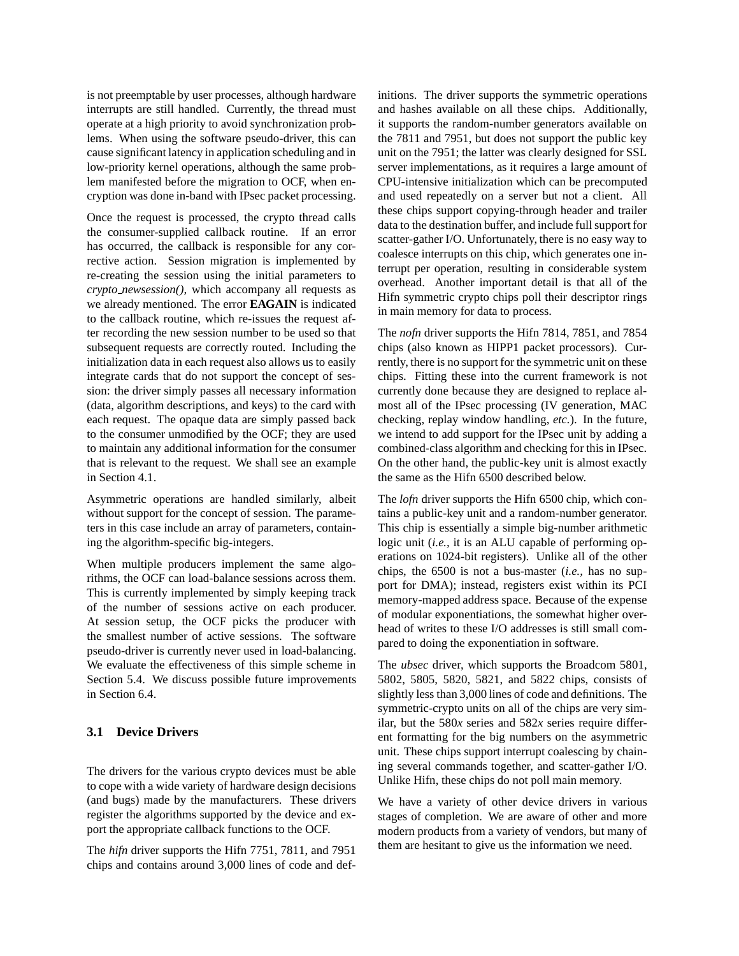is not preemptable by user processes, although hardware interrupts are still handled. Currently, the thread must operate at a high priority to avoid synchronization problems. When using the software pseudo-driver, this can cause significant latency in application scheduling and in low-priority kernel operations, although the same problem manifested before the migration to OCF, when encryption was done in-band with IPsec packet processing.

Once the request is processed, the crypto thread calls the consumer-supplied callback routine. If an error has occurred, the callback is responsible for any corrective action. Session migration is implemented by re-creating the session using the initial parameters to *crypto newsession(),* which accompany all requests as we already mentioned. The error **EAGAIN** is indicated to the callback routine, which re-issues the request after recording the new session number to be used so that subsequent requests are correctly routed. Including the initialization data in each request also allows us to easily integrate cards that do not support the concept of session: the driver simply passes all necessary information (data, algorithm descriptions, and keys) to the card with each request. The opaque data are simply passed back to the consumer unmodified by the OCF; they are used to maintain any additional information for the consumer that is relevant to the request. We shall see an example in Section 4.1.

Asymmetric operations are handled similarly, albeit without support for the concept of session. The parameters in this case include an array of parameters, containing the algorithm-specific big-integers.

When multiple producers implement the same algorithms, the OCF can load-balance sessions across them. This is currently implemented by simply keeping track of the number of sessions active on each producer. At session setup, the OCF picks the producer with the smallest number of active sessions. The software pseudo-driver is currently never used in load-balancing. We evaluate the effectiveness of this simple scheme in Section 5.4. We discuss possible future improvements in Section 6.4.

#### **3.1 Device Drivers**

The drivers for the various crypto devices must be able to cope with a wide variety of hardware design decisions (and bugs) made by the manufacturers. These drivers register the algorithms supported by the device and export the appropriate callback functions to the OCF.

The *hifn* driver supports the Hifn 7751, 7811, and 7951 chips and contains around 3,000 lines of code and definitions. The driver supports the symmetric operations and hashes available on all these chips. Additionally, it supports the random-number generators available on the 7811 and 7951, but does not support the public key unit on the 7951; the latter was clearly designed for SSL server implementations, as it requires a large amount of CPU-intensive initialization which can be precomputed and used repeatedly on a server but not a client. All these chips support copying-through header and trailer data to the destination buffer, and include full support for scatter-gather I/O. Unfortunately, there is no easy way to coalesce interrupts on this chip, which generates one interrupt per operation, resulting in considerable system overhead. Another important detail is that all of the Hifn symmetric crypto chips poll their descriptor rings in main memory for data to process.

The *nofn* driver supports the Hifn 7814, 7851, and 7854 chips (also known as HIPP1 packet processors). Currently, there is no support for the symmetric unit on these chips. Fitting these into the current framework is not currently done because they are designed to replace almost all of the IPsec processing (IV generation, MAC checking, replay window handling, *etc.*). In the future, we intend to add support for the IPsec unit by adding a combined-class algorithm and checking for this in IPsec. On the other hand, the public-key unit is almost exactly the same as the Hifn 6500 described below.

The *lofn* driver supports the Hifn 6500 chip, which contains a public-key unit and a random-number generator. This chip is essentially a simple big-number arithmetic logic unit (*i.e.,* it is an ALU capable of performing operations on 1024-bit registers). Unlike all of the other chips, the 6500 is not a bus-master (*i.e.,* has no support for DMA); instead, registers exist within its PCI memory-mapped address space. Because of the expense of modular exponentiations, the somewhat higher overhead of writes to these I/O addresses is still small compared to doing the exponentiation in software.

The *ubsec* driver, which supports the Broadcom 5801, 5802, 5805, 5820, 5821, and 5822 chips, consists of slightly less than 3,000 lines of code and definitions. The symmetric-crypto units on all of the chips are very similar, but the 580*x* series and 582*x* series require different formatting for the big numbers on the asymmetric unit. These chips support interrupt coalescing by chaining several commands together, and scatter-gather I/O. Unlike Hifn, these chips do not poll main memory.

We have a variety of other device drivers in various stages of completion. We are aware of other and more modern products from a variety of vendors, but many of them are hesitant to give us the information we need.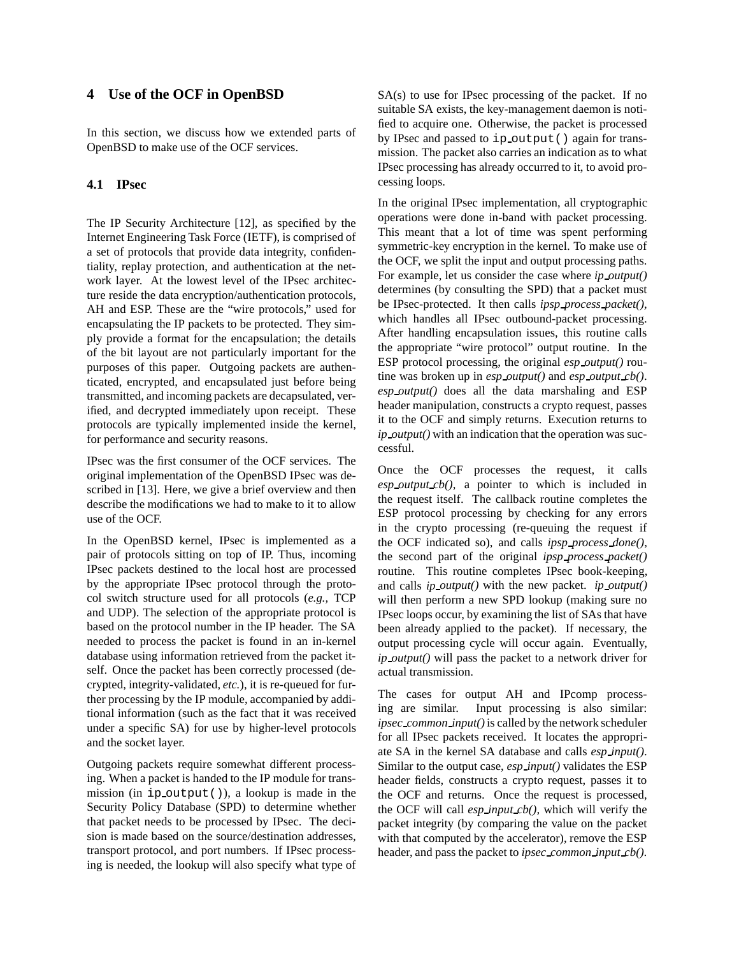# **4 Use of the OCF in OpenBSD**

In this section, we discuss how we extended parts of OpenBSD to make use of the OCF services.

### **4.1 IPsec**

The IP Security Architecture [12], as specified by the Internet Engineering Task Force (IETF), is comprised of a set of protocols that provide data integrity, confidentiality, replay protection, and authentication at the network layer. At the lowest level of the IPsec architecture reside the data encryption/authentication protocols, AH and ESP. These are the "wire protocols," used for encapsulating the IP packets to be protected. They simply provide a format for the encapsulation; the details of the bit layout are not particularly important for the purposes of this paper. Outgoing packets are authenticated, encrypted, and encapsulated just before being transmitted, and incoming packets are decapsulated, verified, and decrypted immediately upon receipt. These protocols are typically implemented inside the kernel, for performance and security reasons.

IPsec was the first consumer of the OCF services. The original implementation of the OpenBSD IPsec was described in [13]. Here, we give a brief overview and then describe the modifications we had to make to it to allow use of the OCF.

In the OpenBSD kernel, IPsec is implemented as a pair of protocols sitting on top of IP. Thus, incoming IPsec packets destined to the local host are processed by the appropriate IPsec protocol through the protocol switch structure used for all protocols (*e.g.,* TCP and UDP). The selection of the appropriate protocol is based on the protocol number in the IP header. The SA needed to process the packet is found in an in-kernel database using information retrieved from the packet itself. Once the packet has been correctly processed (decrypted, integrity-validated, *etc.*), it is re-queued for further processing by the IP module, accompanied by additional information (such as the fact that it was received under a specific SA) for use by higher-level protocols and the socket layer.

Outgoing packets require somewhat different processing. When a packet is handed to the IP module for transmission (in ip output()), a lookup is made in the Security Policy Database (SPD) to determine whether that packet needs to be processed by IPsec. The decision is made based on the source/destination addresses, transport protocol, and port numbers. If IPsec processing is needed, the lookup will also specify what type of SA(s) to use for IPsec processing of the packet. If no suitable SA exists, the key-management daemon is notified to acquire one. Otherwise, the packet is processed by IPsec and passed to ip output() again for transmission. The packet also carries an indication as to what IPsec processing has already occurred to it, to avoid processing loops.

In the original IPsec implementation, all cryptographic operations were done in-band with packet processing. This meant that a lot of time was spent performing symmetric-key encryption in the kernel. To make use of the OCF, we split the input and output processing paths. For example, let us consider the case where *ip output()* determines (by consulting the SPD) that a packet must be IPsec-protected. It then calls *ipsp process packet(),* which handles all IPsec outbound-packet processing. After handling encapsulation issues, this routine calls the appropriate "wire protocol" output routine. In the ESP protocol processing, the original *esp output()* routine was broken up in *esp output()* and *esp output cb()*. *esp output()* does all the data marshaling and ESP header manipulation, constructs a crypto request, passes it to the OCF and simply returns. Execution returns to *ip output()* with an indication that the operation was successful.

Once the OCF processes the request, it calls *esp output cb()*, a pointer to which is included in the request itself. The callback routine completes the ESP protocol processing by checking for any errors in the crypto processing (re-queuing the request if the OCF indicated so), and calls *ipsp process done()*, the second part of the original *ipsp process packet()* routine. This routine completes IPsec book-keeping, and calls *ip output()* with the new packet. *ip output()* will then perform a new SPD lookup (making sure no IPsec loops occur, by examining the list of SAs that have been already applied to the packet). If necessary, the output processing cycle will occur again. Eventually, *ip output()* will pass the packet to a network driver for actual transmission.

The cases for output AH and IPcomp processing are similar. Input processing is also similar: *ipsec common input()*is called by the network scheduler for all IPsec packets received. It locates the appropriate SA in the kernel SA database and calls *esp input()*. Similar to the output case, *esp input()* validates the ESP header fields, constructs a crypto request, passes it to the OCF and returns. Once the request is processed, the OCF will call *esp input cb(),* which will verify the packet integrity (by comparing the value on the packet with that computed by the accelerator), remove the ESP header, and pass the packet to *ipsec common input cb().*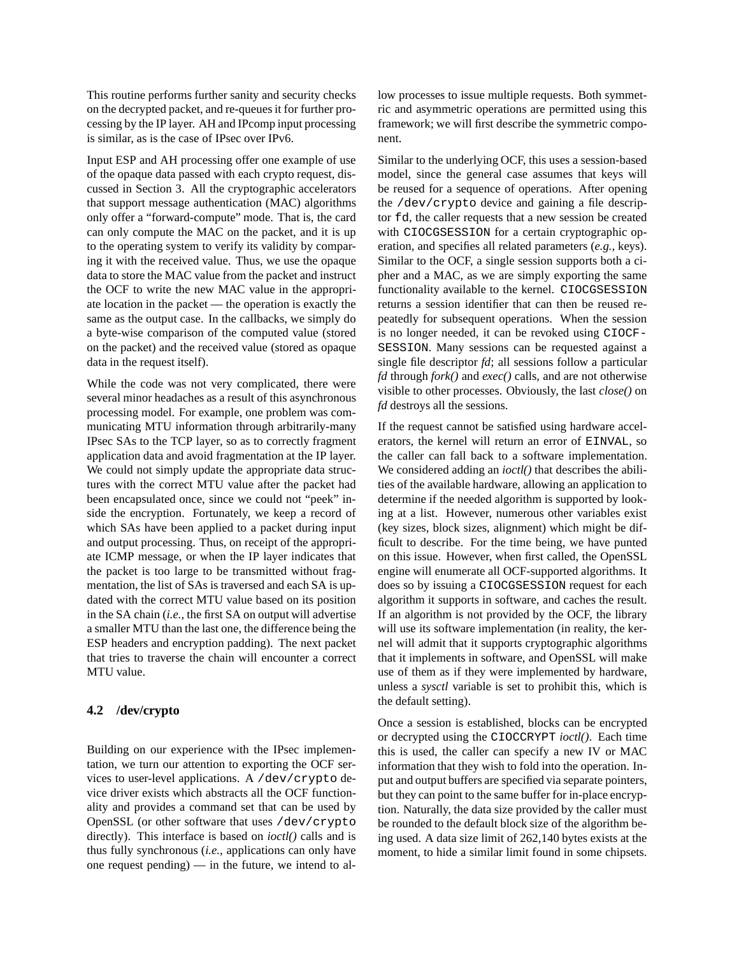This routine performs further sanity and security checks on the decrypted packet, and re-queues it for further processing by the IP layer. AH and IPcomp input processing is similar, as is the case of IPsec over IPv6.

Input ESP and AH processing offer one example of use of the opaque data passed with each crypto request, discussed in Section 3. All the cryptographic accelerators that support message authentication (MAC) algorithms only offer a "forward-compute" mode. That is, the card can only compute the MAC on the packet, and it is up to the operating system to verify its validity by comparing it with the received value. Thus, we use the opaque data to store the MAC value from the packet and instruct the OCF to write the new MAC value in the appropriate location in the packet — the operation is exactly the same as the output case. In the callbacks, we simply do a byte-wise comparison of the computed value (stored on the packet) and the received value (stored as opaque data in the request itself).

While the code was not very complicated, there were several minor headaches as a result of this asynchronous processing model. For example, one problem was communicating MTU information through arbitrarily-many IPsec SAs to the TCP layer, so as to correctly fragment application data and avoid fragmentation at the IP layer. We could not simply update the appropriate data structures with the correct MTU value after the packet had been encapsulated once, since we could not "peek" inside the encryption. Fortunately, we keep a record of which SAs have been applied to a packet during input and output processing. Thus, on receipt of the appropriate ICMP message, or when the IP layer indicates that the packet is too large to be transmitted without fragmentation, the list of SAs is traversed and each SA is updated with the correct MTU value based on its position in the SA chain (*i.e.,* the first SA on output will advertise a smaller MTU than the last one, the difference being the ESP headers and encryption padding). The next packet that tries to traverse the chain will encounter a correct MTU value.

# **4.2 /dev/crypto**

Building on our experience with the IPsec implementation, we turn our attention to exporting the OCF services to user-level applications. A /dev/crypto device driver exists which abstracts all the OCF functionality and provides a command set that can be used by OpenSSL (or other software that uses /dev/crypto directly). This interface is based on *ioctl()* calls and is thus fully synchronous (*i.e.,* applications can only have one request pending) — in the future, we intend to allow processes to issue multiple requests. Both symmetric and asymmetric operations are permitted using this framework; we will first describe the symmetric component.

Similar to the underlying OCF, this uses a session-based model, since the general case assumes that keys will be reused for a sequence of operations. After opening the /dev/crypto device and gaining a file descriptor fd, the caller requests that a new session be created with CIOCGSESSION for a certain cryptographic operation, and specifies all related parameters (*e.g.,* keys). Similar to the OCF, a single session supports both a cipher and a MAC, as we are simply exporting the same functionality available to the kernel. CIOCGSESSION returns a session identifier that can then be reused repeatedly for subsequent operations. When the session is no longer needed, it can be revoked using CIOCF-SESSION. Many sessions can be requested against a single file descriptor *fd*; all sessions follow a particular *fd* through *fork()* and *exec()* calls, and are not otherwise visible to other processes. Obviously, the last *close()* on *fd* destroys all the sessions.

If the request cannot be satisfied using hardware accelerators, the kernel will return an error of EINVAL, so the caller can fall back to a software implementation. We considered adding an *ioctl()* that describes the abilities of the available hardware, allowing an application to determine if the needed algorithm is supported by looking at a list. However, numerous other variables exist (key sizes, block sizes, alignment) which might be difficult to describe. For the time being, we have punted on this issue. However, when first called, the OpenSSL engine will enumerate all OCF-supported algorithms. It does so by issuing a CIOCGSESSION request for each algorithm it supports in software, and caches the result. If an algorithm is not provided by the OCF, the library will use its software implementation (in reality, the kernel will admit that it supports cryptographic algorithms that it implements in software, and OpenSSL will make use of them as if they were implemented by hardware, unless a *sysctl* variable is set to prohibit this, which is the default setting).

Once a session is established, blocks can be encrypted or decrypted using the CIOCCRYPT *ioctl()*. Each time this is used, the caller can specify a new IV or MAC information that they wish to fold into the operation. Input and output buffers are specified via separate pointers, but they can point to the same buffer for in-place encryption. Naturally, the data size provided by the caller must be rounded to the default block size of the algorithm being used. A data size limit of 262,140 bytes exists at the moment, to hide a similar limit found in some chipsets.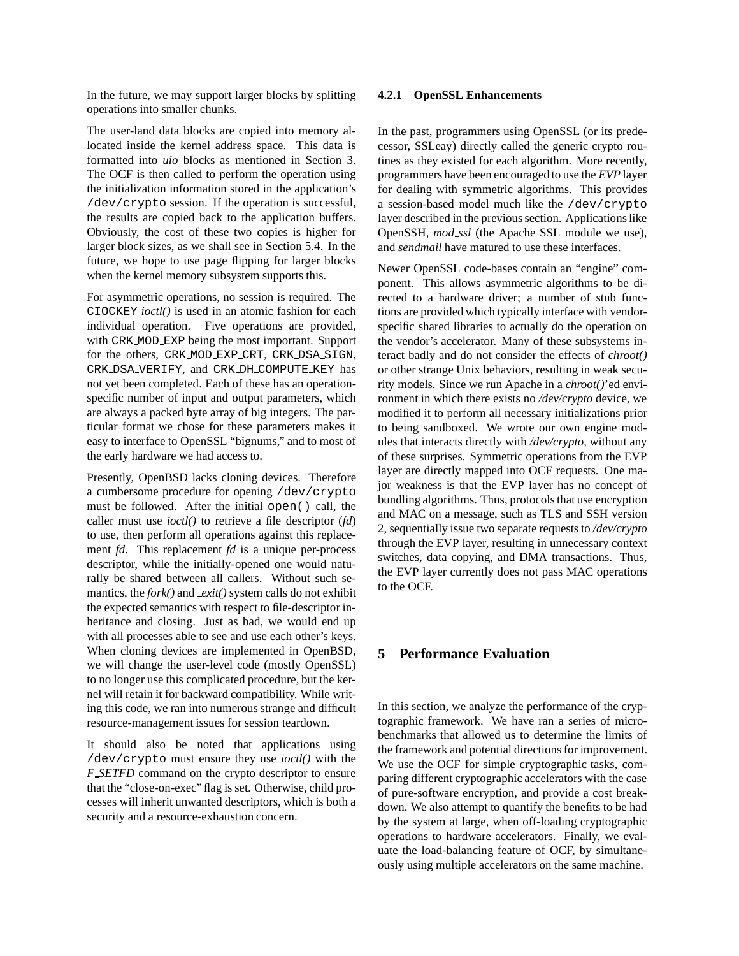In the future, we may support larger blocks by splitting operations into smaller chunks.

The user-land data blocks are copied into memory allocated inside the kernel address space. This data is formatted into *uio* blocks as mentioned in Section 3. The OCF is then called to perform the operation using the initialization information stored in the application's /dev/crypto session. If the operation is successful, the results are copied back to the application buffers. Obviously, the cost of these two copies is higher for larger block sizes, as we shall see in Section 5.4. In the future, we hope to use page flipping for larger blocks when the kernel memory subsystem supports this.

For asymmetric operations, no session is required. The CIOCKEY *ioctl()* is used in an atomic fashion for each individual operation. Five operations are provided, with CRK\_MOD\_EXP being the most important. Support for the others, CRK MOD EXP CRT, CRK DSA SIGN, CRK DSA VERIFY, and CRK DH COMPUTE KEY has not yet been completed. Each of these has an operationspecific number of input and output parameters, which are always a packed byte array of big integers. The particular format we chose for these parameters makes it easy to interface to OpenSSL "bignums," and to most of the early hardware we had access to.

Presently, OpenBSD lacks cloning devices. Therefore a cumbersome procedure for opening /dev/crypto must be followed. After the initial open() call, the caller must use *ioctl()* to retrieve a file descriptor (*fd*) to use, then perform all operations against this replacement *fd*. This replacement *fd* is a unique per-process descriptor, while the initially-opened one would naturally be shared between all callers. Without such semantics, the *fork()* and *exit()* system calls do not exhibit the expected semantics with respect to file-descriptor inheritance and closing. Just as bad, we would end up with all processes able to see and use each other's keys. When cloning devices are implemented in OpenBSD, we will change the user-level code (mostly OpenSSL) to no longer use this complicated procedure, but the kernel will retain it for backward compatibility. While writing this code, we ran into numerous strange and difficult resource-management issues for session teardown.

It should also be noted that applications using /dev/crypto must ensure they use *ioctl()* with the *F SETFD* command on the crypto descriptor to ensure that the "close-on-exec" flag is set. Otherwise, child processes will inherit unwanted descriptors, which is both a security and a resource-exhaustion concern.

#### **4.2.1 OpenSSL Enhancements**

In the past, programmers using OpenSSL (or its predecessor, SSLeay) directly called the generic crypto routines as they existed for each algorithm. More recently, programmers have been encouraged to use the *EVP* layer for dealing with symmetric algorithms. This provides a session-based model much like the /dev/crypto layer described in the previous section. Applications like OpenSSH, *mod ssl* (the Apache SSL module we use), and *sendmail* have matured to use these interfaces.

Newer OpenSSL code-bases contain an "engine" component. This allows asymmetric algorithms to be directed to a hardware driver; a number of stub functions are provided which typically interface with vendorspecific shared libraries to actually do the operation on the vendor's accelerator. Many of these subsystems interact badly and do not consider the effects of *chroot()* or other strange Unix behaviors, resulting in weak security models. Since we run Apache in a *chroot()*'ed environment in which there exists no */dev/crypto* device, we modified it to perform all necessary initializations prior to being sandboxed. We wrote our own engine modules that interacts directly with */dev/crypto,* without any of these surprises. Symmetric operations from the EVP layer are directly mapped into OCF requests. One major weakness is that the EVP layer has no concept of bundling algorithms. Thus, protocols that use encryption and MAC on a message, such as TLS and SSH version 2, sequentially issue two separate requests to */dev/crypto* through the EVP layer, resulting in unnecessary context switches, data copying, and DMA transactions. Thus, the EVP layer currently does not pass MAC operations to the OCF.

### **5 Performance Evaluation**

In this section, we analyze the performance of the cryptographic framework. We have ran a series of microbenchmarks that allowed us to determine the limits of the framework and potential directions for improvement. We use the OCF for simple cryptographic tasks, comparing different cryptographic accelerators with the case of pure-software encryption, and provide a cost breakdown. We also attempt to quantify the benefits to be had by the system at large, when off-loading cryptographic operations to hardware accelerators. Finally, we evaluate the load-balancing feature of OCF, by simultaneously using multiple accelerators on the same machine.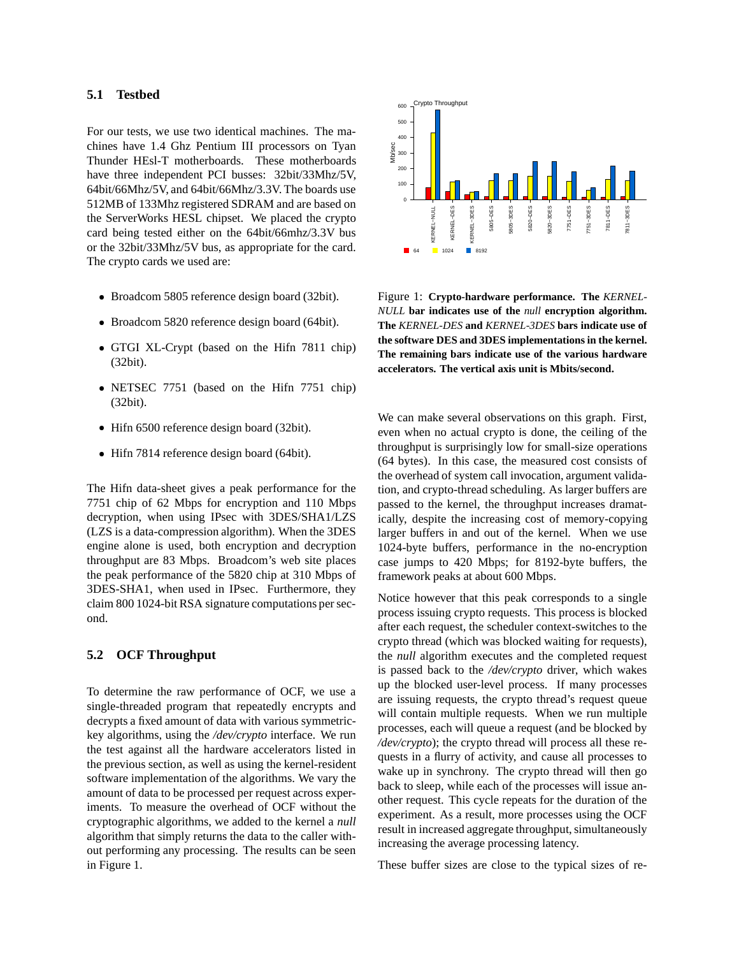#### **5.1 Testbed**

For our tests, we use two identical machines. The machines have 1.4 Ghz Pentium III processors on Tyan Thunder HEsl-T motherboards. These motherboards have three independent PCI busses: 32bit/33Mhz/5V, 64bit/66Mhz/5V, and 64bit/66Mhz/3.3V. The boards use 512MB of 133Mhz registered SDRAM and are based on the ServerWorks HESL chipset. We placed the crypto card being tested either on the 64bit/66mhz/3.3V bus or the 32bit/33Mhz/5V bus, as appropriate for the card. The crypto cards we used are:

- Broadcom 5805 reference design board (32bit).
- Broadcom 5820 reference design board (64bit).
- GTGI XL-Crypt (based on the Hifn 7811 chip) (32bit).
- NETSEC 7751 (based on the Hifn 7751 chip) (32bit).
- Hifn 6500 reference design board (32bit).
- Hifn 7814 reference design board (64bit).

The Hifn data-sheet gives a peak performance for the 7751 chip of 62 Mbps for encryption and 110 Mbps decryption, when using IPsec with 3DES/SHA1/LZS (LZS is a data-compression algorithm). When the 3DES engine alone is used, both encryption and decryption throughput are 83 Mbps. Broadcom's web site places the peak performance of the 5820 chip at 310 Mbps of 3DES-SHA1, when used in IPsec. Furthermore, they claim 800 1024-bit RSA signature computations persecond.

#### **5.2 OCF Throughput**

To determine the raw performance of OCF, we use a single-threaded program that repeatedly encrypts and decrypts a fixed amount of data with various symmetrickey algorithms, using the */dev/crypto* interface. We run the test against all the hardware accelerators listed in the previous section, as well as using the kernel-resident software implementation of the algorithms. We vary the amount of data to be processed per request across experiments. To measure the overhead of OCF without the cryptographic algorithms, we added to the kernel a *null* algorithm that simply returns the data to the caller without performing any processing. The results can be seen in Figure 1.



Figure 1: **Crypto-hardware performance. The** *KERNEL-NULL* **bar indicates use of the** *null* **encryption algorithm. The** *KERNEL-DES* **and** *KERNEL-3DES* **bars indicate use of the software DES and 3DES implementations in the kernel. The remaining bars indicate use of the various hardware accelerators. The vertical axis unit is Mbits/second.**

We can make several observations on this graph. First, even when no actual crypto is done, the ceiling of the throughput is surprisingly low for small-size operations (64 bytes). In this case, the measured cost consists of the overhead of system call invocation, argument validation, and crypto-thread scheduling. As larger buffers are passed to the kernel, the throughput increases dramatically, despite the increasing cost of memory-copying larger buffers in and out of the kernel. When we use 1024-byte buffers, performance in the no-encryption case jumps to 420 Mbps; for 8192-byte buffers, the framework peaks at about 600 Mbps.

Notice however that this peak corresponds to a single process issuing crypto requests. This process is blocked after each request, the scheduler context-switches to the crypto thread (which was blocked waiting for requests), the *null* algorithm executes and the completed request is passed back to the */dev/crypto* driver, which wakes up the blocked user-level process. If many processes are issuing requests, the crypto thread's request queue will contain multiple requests. When we run multiple processes, each will queue a request (and be blocked by */dev/crypto*); the crypto thread will process all these requests in a flurry of activity, and cause all processes to wake up in synchrony. The crypto thread will then go back to sleep, while each of the processes will issue another request. This cycle repeats for the duration of the experiment. As a result, more processes using the OCF result in increased aggregate throughput, simultaneously increasing the average processing latency.

These buffer sizes are close to the typical sizes of re-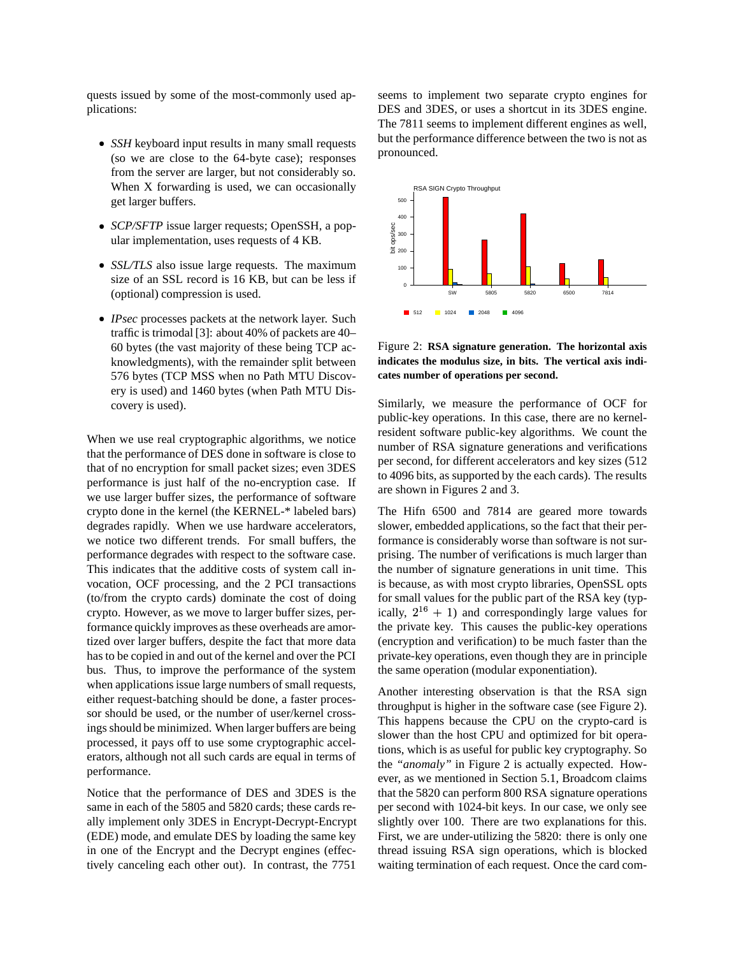quests issued by some of the most-commonly used applications:

- *SSH* keyboard input results in many small requests (so we are close to the 64-byte case); responses from the server are larger, but not considerably so. When X forwarding is used, we can occasionally get larger buffers.
- *SCP/SFTP* issue larger requests; OpenSSH, a popular implementation, uses requests of 4 KB.
- *SSL/TLS* also issue large requests. The maximum size of an SSL record is 16 KB, but can be less if (optional) compression is used.
- *IPsec* processes packets at the network layer. Such traffic is trimodal [3]: about 40% of packets are 40– 60 bytes (the vast majority of these being TCP acknowledgments), with the remainder split between 576 bytes (TCP MSS when no Path MTU Discovery is used) and 1460 bytes (when Path MTU Discovery is used).

When we use real cryptographic algorithms, we notice that the performance of DES done in software is close to that of no encryption for small packet sizes; even 3DES performance is just half of the no-encryption case. If we use larger buffer sizes, the performance of software crypto done in the kernel (the KERNEL-\* labeled bars) degrades rapidly. When we use hardware accelerators, we notice two different trends. For small buffers, the performance degrades with respect to the software case. This indicates that the additive costs of system call invocation, OCF processing, and the 2 PCI transactions (to/from the crypto cards) dominate the cost of doing crypto. However, as we move to larger buffer sizes, performance quickly improves as these overheads are amortized over larger buffers, despite the fact that more data has to be copied in and out of the kernel and over the PCI bus. Thus, to improve the performance of the system when applications issue large numbers of small requests, either request-batching should be done, a faster processor should be used, or the number of user/kernel crossings should be minimized. When larger buffers are being processed, it pays off to use some cryptographic accelerators, although not all such cards are equal in terms of performance.

Notice that the performance of DES and 3DES is the same in each of the 5805 and 5820 cards; these cards really implement only 3DES in Encrypt-Decrypt-Encrypt (EDE) mode, and emulate DES by loading the same key in one of the Encrypt and the Decrypt engines (effectively canceling each other out). In contrast, the 7751

seems to implement two separate crypto engines for DES and 3DES, or uses a shortcut in its 3DES engine. The 7811 seems to implement different engines as well, but the performance difference between the two is not as pronounced.



Figure 2: **RSA signature generation. The horizontal axis indicates the modulus size, in bits. The vertical axis indicates number of operations per second.**

Similarly, we measure the performance of OCF for public-key operations. In this case, there are no kernelresident software public-key algorithms. We count the number of RSA signature generations and verifications per second, for different accelerators and key sizes (512 to 4096 bits, as supported by the each cards). The results are shown in Figures 2 and 3.

The Hifn 6500 and 7814 are geared more towards slower, embedded applications, so the fact that their performance is considerably worse than software is not surprising. The number of verifications is much larger than the number of signature generations in unit time. This is because, as with most crypto libraries, OpenSSL opts for small values for the public part of the RSA key (typically,  $2^{16} + 1$ ) and correspondingly large values for the private key. This causes the public-key operations (encryption and verification) to be much faster than the private-key operations, even though they are in principle the same operation (modular exponentiation).

Another interesting observation is that the RSA sign throughput is higher in the software case (see Figure 2). This happens because the CPU on the crypto-card is slower than the host CPU and optimized for bit operations, which is as useful for public key cryptography. So the *"anomaly"* in Figure 2 is actually expected. However, as we mentioned in Section 5.1, Broadcom claims that the 5820 can perform 800 RSA signature operations per second with 1024-bit keys. In our case, we only see slightly over 100. There are two explanations for this. First, we are under-utilizing the 5820: there is only one thread issuing RSA sign operations, which is blocked waiting termination of each request. Once the card com-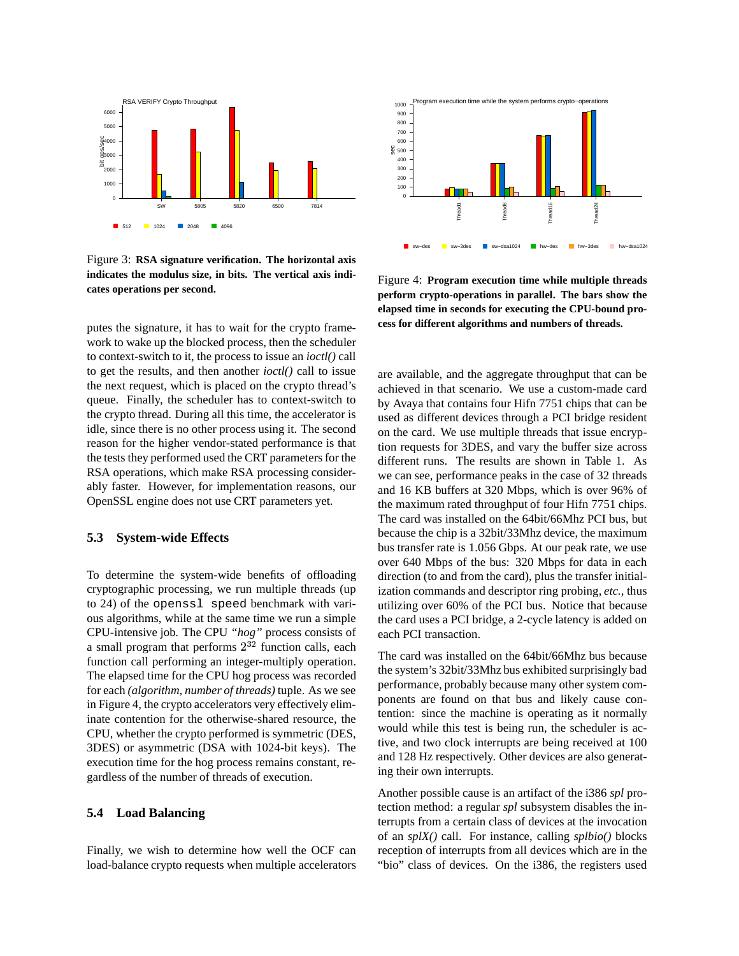

Figure 3: **RSA signature verification. The horizontal axis indicates the modulus size, in bits. The vertical axis indicates operations per second.**

putes the signature, it has to wait for the crypto framework to wake up the blocked process, then the scheduler to context-switch to it, the process to issue an *ioctl()* call to get the results, and then another *ioctl()* call to issue the next request, which is placed on the crypto thread's queue. Finally, the scheduler has to context-switch to the crypto thread. During all this time, the accelerator is idle, since there is no other process using it. The second reason for the higher vendor-stated performance is that the tests they performed used the CRT parameters for the RSA operations, which make RSA processing considerably faster. However, for implementation reasons, our OpenSSL engine does not use CRT parameters yet.

#### **5.3 System-wide Effects**

To determine the system-wide benefits of offloading cryptographic processing, we run multiple threads (up to 24) of the openssl speed benchmark with various algorithms, while at the same time we run a simple CPU-intensive job. The CPU *"hog"* process consists of a small program that performs  $2^{32}$  function calls, each function call performing an integer-multiply operation. The elapsed time for the CPU hog process was recorded for each *(algorithm, number of threads)* tuple. As we see in Figure 4, the crypto accelerators very effectively eliminate contention for the otherwise-shared resource, the CPU, whether the crypto performed is symmetric (DES, 3DES) or asymmetric (DSA with 1024-bit keys). The execution time for the hog process remains constant, regardless of the number of threads of execution.

#### **5.4 Load Balancing**

Finally, we wish to determine how well the OCF can load-balance crypto requests when multiple accelerators



Figure 4: **Program execution time while multiple threads perform crypto-operations in parallel. The bars show the elapsed time in seconds for executing the CPU-bound process for different algorithms and numbers of threads.**

are available, and the aggregate throughput that can be achieved in that scenario. We use a custom-made card by Avaya that contains four Hifn 7751 chips that can be used as different devices through a PCI bridge resident on the card. We use multiple threads that issue encryption requests for 3DES, and vary the buffer size across different runs. The results are shown in Table 1. As we can see, performance peaks in the case of 32 threads and 16 KB buffers at 320 Mbps, which is over 96% of the maximum rated throughput of four Hifn 7751 chips. The card was installed on the 64bit/66Mhz PCI bus, but because the chip is a 32bit/33Mhz device, the maximum bus transfer rate is 1.056 Gbps. At our peak rate, we use over 640 Mbps of the bus: 320 Mbps for data in each direction (to and from the card), plus the transfer initialization commands and descriptor ring probing, *etc.,* thus utilizing over 60% of the PCI bus. Notice that because the card uses a PCI bridge, a 2-cycle latency is added on each PCI transaction.

The card was installed on the 64bit/66Mhz bus because the system's 32bit/33Mhz bus exhibited surprisingly bad performance, probably because many other system components are found on that bus and likely cause contention: since the machine is operating as it normally would while this test is being run, the scheduler is active, and two clock interrupts are being received at 100 and 128 Hz respectively. Other devices are also generating their own interrupts.

Another possible cause is an artifact of the i386 *spl* protection method: a regular *spl* subsystem disables the interrupts from a certain class of devices at the invocation of an *splX()* call. For instance, calling *splbio()* blocks reception of interrupts from all devices which are in the "bio" class of devices. On the i386, the registers used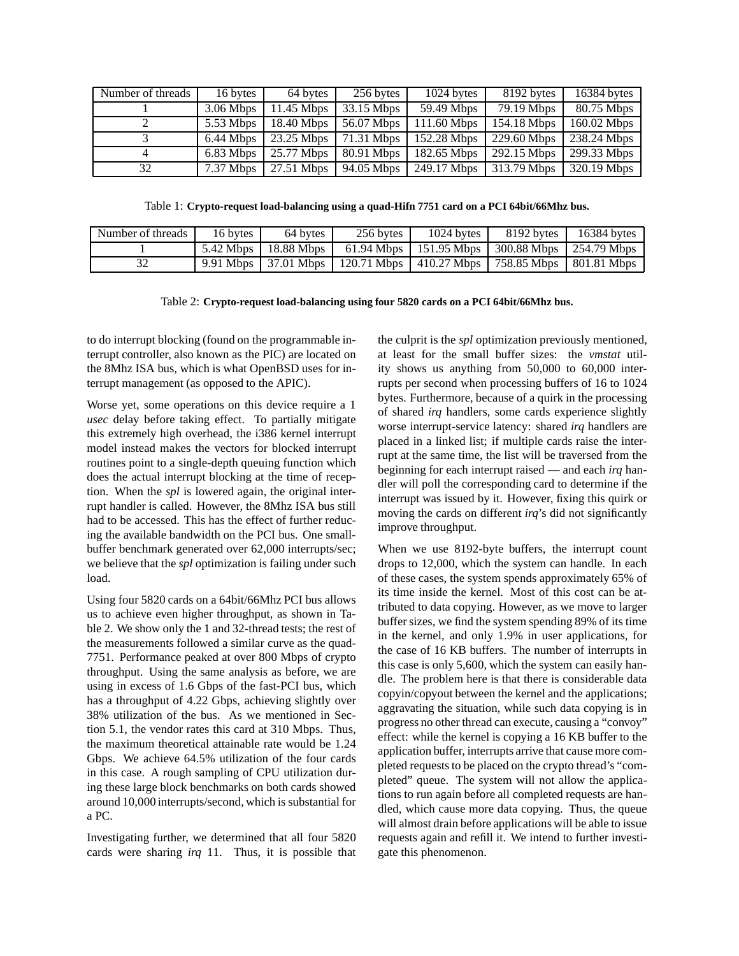| Number of threads | 16 bytes    | 64 bytes     | 256 bytes  | 1024 bytes  | 8192 bytes  | 16384 bytes |
|-------------------|-------------|--------------|------------|-------------|-------------|-------------|
|                   | $3.06$ Mbps | $11.45$ Mbps | 33.15 Mbps | 59.49 Mbps  | 79.19 Mbps  | 80.75 Mbps  |
|                   | $5.53$ Mbps | 18.40 Mbps   | 56.07 Mbps | 111.60 Mbps | 154.18 Mbps | 160.02 Mbps |
|                   | 6.44 Mbps   | $23.25$ Mbps | 71.31 Mbps | 152.28 Mbps | 229.60 Mbps | 238.24 Mbps |
|                   | 6.83 Mbps   | 25.77 Mbps   | 80.91 Mbps | 182.65 Mbps | 292.15 Mbps | 299.33 Mbps |
| 32                | $7.37$ Mbps | 27.51 Mbps   | 94.05 Mbps | 249.17 Mbps | 313.79 Mbps | 320.19 Mbps |

Table 1: **Crypto-request load-balancing using a quad-Hifn 7751 card on a PCI 64bit/66Mhz bus.**

| Number of threads | 16 bytes | 64 bytes                     | 256 bytes                                                                                               | 1024 bytes                                           | 8192 bytes | 16384 bytes |
|-------------------|----------|------------------------------|---------------------------------------------------------------------------------------------------------|------------------------------------------------------|------------|-------------|
|                   |          | 5.42 Mbps $\vert$ 18.88 Mbps |                                                                                                         | 61.94 Mbps   151.95 Mbps   300.88 Mbps   254.79 Mbps |            |             |
|                   |          |                              | 9.91 Mbps $\mid$ 37.01 Mbps $\mid$ 120.71 Mbps $\mid$ 410.27 Mbps $\mid$ 758.85 Mbps $\mid$ 801.81 Mbps |                                                      |            |             |

Table 2: **Crypto-request load-balancing using four 5820 cards on a PCI 64bit/66Mhz bus.**

to do interrupt blocking (found on the programmable interrupt controller, also known as the PIC) are located on the 8Mhz ISA bus, which is what OpenBSD uses for interrupt management (as opposed to the APIC).

Worse yet, some operations on this device require a 1 *usec* delay before taking effect. To partially mitigate this extremely high overhead, the i386 kernel interrupt model instead makes the vectors for blocked interrupt routines point to a single-depth queuing function which does the actual interrupt blocking at the time of reception. When the *spl* is lowered again, the original interrupt handler is called. However, the 8Mhz ISA bus still had to be accessed. This has the effect of further reducing the available bandwidth on the PCI bus. One smallbuffer benchmark generated over 62,000 interrupts/sec; we believe that the *spl* optimization is failing under such load.

Using four 5820 cards on a 64bit/66Mhz PCI bus allows us to achieve even higher throughput, as shown in Table 2. We show only the 1 and 32-thread tests; the rest of the measurements followed a similar curve as the quad-7751. Performance peaked at over 800 Mbps of crypto throughput. Using the same analysis as before, we are using in excess of 1.6 Gbps of the fast-PCI bus, which has a throughput of 4.22 Gbps, achieving slightly over 38% utilization of the bus. As we mentioned in Section 5.1, the vendor rates this card at 310 Mbps. Thus, the maximum theoretical attainable rate would be 1.24 Gbps. We achieve 64.5% utilization of the four cards in this case. A rough sampling of CPU utilization during these large block benchmarks on both cards showed around 10,000 interrupts/second, which is substantial for a PC.

Investigating further, we determined that all four 5820 cards were sharing *irq* 11. Thus, it is possible that the culprit is the *spl* optimization previously mentioned, at least for the small buffer sizes: the *vmstat* utility shows us anything from 50,000 to 60,000 interrupts per second when processing buffers of 16 to 1024 bytes. Furthermore, because of a quirk in the processing of shared *irq* handlers, some cards experience slightly worse interrupt-service latency: shared *irq* handlers are placed in a linked list; if multiple cards raise the interrupt at the same time, the list will be traversed from the beginning for each interrupt raised — and each *irq* handler will poll the corresponding card to determine if the interrupt was issued by it. However, fixing this quirk or moving the cards on different *irq*'s did not significantly improve throughput.

When we use 8192-byte buffers, the interrupt count drops to 12,000, which the system can handle. In each of these cases, the system spends approximately 65% of its time inside the kernel. Most of this cost can be attributed to data copying. However, as we move to larger buffer sizes, we find the system spending 89% of its time in the kernel, and only 1.9% in user applications, for the case of 16 KB buffers. The number of interrupts in this case is only 5,600, which the system can easily handle. The problem here is that there is considerable data copyin/copyout between the kernel and the applications; aggravating the situation, while such data copying is in progress no other thread can execute, causing a "convoy" effect: while the kernel is copying a 16 KB buffer to the application buffer, interrupts arrive that cause more completed requests to be placed on the crypto thread's "completed" queue. The system will not allow the applications to run again before all completed requests are handled, which cause more data copying. Thus, the queue will almost drain before applications will be able to issue requests again and refill it. We intend to further investigate this phenomenon.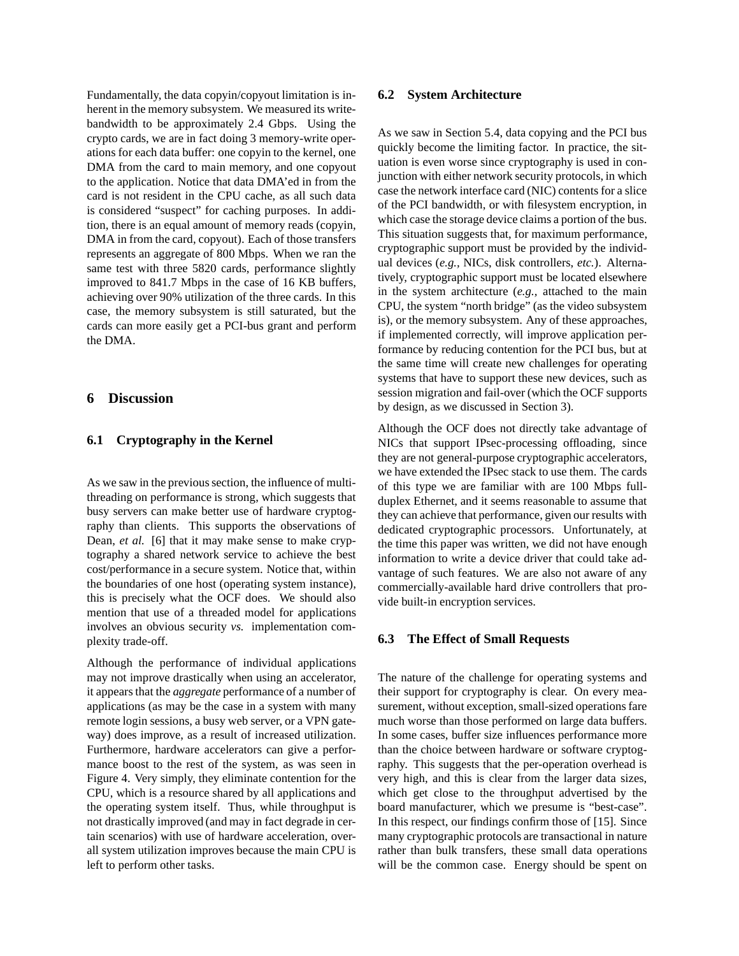Fundamentally, the data copyin/copyout limitation is inherent in the memory subsystem. We measured its writebandwidth to be approximately 2.4 Gbps. Using the crypto cards, we are in fact doing 3 memory-write operations for each data buffer: one copyin to the kernel, one DMA from the card to main memory, and one copyout to the application. Notice that data DMA'ed in from the card is not resident in the CPU cache, as all such data is considered "suspect" for caching purposes. In addition, there is an equal amount of memory reads (copyin, DMA in from the card, copyout). Each of those transfers represents an aggregate of 800 Mbps. When we ran the same test with three 5820 cards, performance slightly improved to 841.7 Mbps in the case of 16 KB buffers, achieving over 90% utilization of the three cards. In this case, the memory subsystem is still saturated, but the cards can more easily get a PCI-bus grant and perform the DMA.

# **6 Discussion**

### **6.1 Cryptography in the Kernel**

As we saw in the previous section, the influence of multithreading on performance is strong, which suggests that busy servers can make better use of hardware cryptography than clients. This supports the observations of Dean, *et al.* [6] that it may make sense to make cryptography a shared network service to achieve the best cost/performance in a secure system. Notice that, within the boundaries of one host (operating system instance), this is precisely what the OCF does. We should also mention that use of a threaded model for applications involves an obvious security *vs.* implementation complexity trade-off.

Although the performance of individual applications may not improve drastically when using an accelerator, it appears that the *aggregate* performance of a number of applications (as may be the case in a system with many remote login sessions, a busy web server, or a VPN gateway) does improve, as a result of increased utilization. Furthermore, hardware accelerators can give a performance boost to the rest of the system, as was seen in Figure 4. Very simply, they eliminate contention for the CPU, which is a resource shared by all applications and the operating system itself. Thus, while throughput is not drastically improved (and may in fact degrade in certain scenarios) with use of hardware acceleration, overall system utilization improves because the main CPU is left to perform other tasks.

#### **6.2 System Architecture**

As we saw in Section 5.4, data copying and the PCI bus quickly become the limiting factor. In practice, the situation is even worse since cryptography is used in conjunction with either network security protocols, in which case the network interface card (NIC) contents for a slice of the PCI bandwidth, or with filesystem encryption, in which case the storage device claims a portion of the bus. This situation suggests that, for maximum performance, cryptographic support must be provided by the individual devices (*e.g.,* NICs, disk controllers, *etc.*). Alternatively, cryptographic support must be located elsewhere in the system architecture (*e.g.,* attached to the main CPU, the system "north bridge" (as the video subsystem is), or the memory subsystem. Any of these approaches, if implemented correctly, will improve application performance by reducing contention for the PCI bus, but at the same time will create new challenges for operating systems that have to support these new devices, such as session migration and fail-over (which the OCF supports by design, as we discussed in Section 3).

Although the OCF does not directly take advantage of NICs that support IPsec-processing offloading, since they are not general-purpose cryptographic accelerators, we have extended the IPsec stack to use them. The cards of this type we are familiar with are 100 Mbps fullduplex Ethernet, and it seems reasonable to assume that they can achieve that performance, given our results with dedicated cryptographic processors. Unfortunately, at the time this paper was written, we did not have enough information to write a device driver that could take advantage of such features. We are also not aware of any commercially-available hard drive controllers that provide built-in encryption services.

#### **6.3 The Effect of Small Requests**

The nature of the challenge for operating systems and their support for cryptography is clear. On every measurement, without exception, small-sized operations fare much worse than those performed on large data buffers. In some cases, buffer size influences performance more than the choice between hardware or software cryptography. This suggests that the per-operation overhead is very high, and this is clear from the larger data sizes, which get close to the throughput advertised by the board manufacturer, which we presume is "best-case". In this respect, our findings confirm those of [15]. Since many cryptographic protocols are transactional in nature rather than bulk transfers, these small data operations will be the common case. Energy should be spent on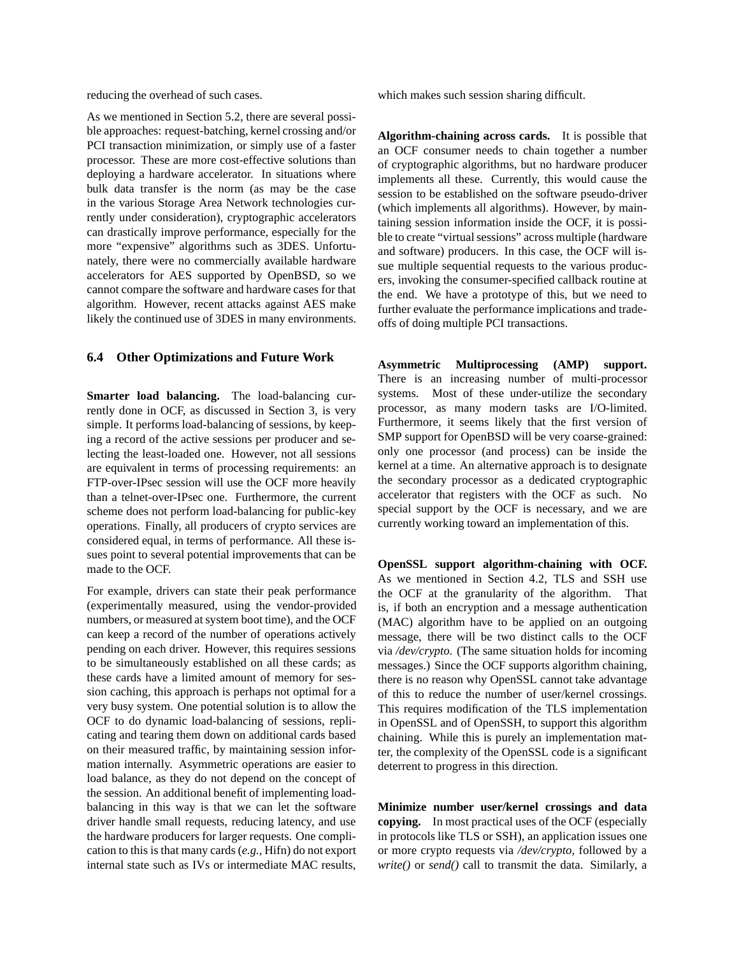reducing the overhead of such cases.

As we mentioned in Section 5.2, there are several possible approaches: request-batching, kernel crossing and/or PCI transaction minimization, or simply use of a faster processor. These are more cost-effective solutions than deploying a hardware accelerator. In situations where bulk data transfer is the norm (as may be the case in the various Storage Area Network technologies currently under consideration), cryptographic accelerators can drastically improve performance, especially for the more "expensive" algorithms such as 3DES. Unfortunately, there were no commercially available hardware accelerators for AES supported by OpenBSD, so we cannot compare the software and hardware cases for that algorithm. However, recent attacks against AES make likely the continued use of 3DES in many environments.

#### **6.4 Other Optimizations and Future Work**

**Smarter load balancing.** The load-balancing currently done in OCF, as discussed in Section 3, is very simple. It performs load-balancing of sessions, by keeping a record of the active sessions per producer and selecting the least-loaded one. However, not all sessions are equivalent in terms of processing requirements: an FTP-over-IPsec session will use the OCF more heavily than a telnet-over-IPsec one. Furthermore, the current scheme does not perform load-balancing for public-key operations. Finally, all producers of crypto services are considered equal, in terms of performance. All these issues point to several potential improvements that can be made to the OCF.

For example, drivers can state their peak performance (experimentally measured, using the vendor-provided numbers, or measured at system boot time), and the OCF can keep a record of the number of operations actively pending on each driver. However, this requires sessions to be simultaneously established on all these cards; as these cards have a limited amount of memory for session caching, this approach is perhaps not optimal for a very busy system. One potential solution is to allow the OCF to do dynamic load-balancing of sessions, replicating and tearing them down on additional cards based on their measured traffic, by maintaining session information internally. Asymmetric operations are easier to load balance, as they do not depend on the concept of the session. An additional benefit of implementing loadbalancing in this way is that we can let the software driver handle small requests, reducing latency, and use the hardware producers for larger requests. One complication to this is that many cards (*e.g.,* Hifn) do not export internal state such as IVs or intermediate MAC results, which makes such session sharing difficult.

**Algorithm-chaining across cards.** It is possible that an OCF consumer needs to chain together a number of cryptographic algorithms, but no hardware producer implements all these. Currently, this would cause the session to be established on the software pseudo-driver (which implements all algorithms). However, by maintaining session information inside the OCF, it is possible to create "virtual sessions" across multiple (hardware and software) producers. In this case, the OCF will issue multiple sequential requests to the various producers, invoking the consumer-specified callback routine at the end. We have a prototype of this, but we need to further evaluate the performance implications and tradeoffs of doing multiple PCI transactions.

**Asymmetric Multiprocessing (AMP) support.** There is an increasing number of multi-processor systems. Most of these under-utilize the secondary processor, as many modern tasks are I/O-limited. Furthermore, it seems likely that the first version of SMP support for OpenBSD will be very coarse-grained: only one processor (and process) can be inside the kernel at a time. An alternative approach is to designate the secondary processor as a dedicated cryptographic accelerator that registers with the OCF as such. No special support by the OCF is necessary, and we are currently working toward an implementation of this.

**OpenSSL support algorithm-chaining with OCF.** As we mentioned in Section 4.2, TLS and SSH use the OCF at the granularity of the algorithm. That is, if both an encryption and a message authentication (MAC) algorithm have to be applied on an outgoing message, there will be two distinct calls to the OCF via */dev/crypto.* (The same situation holds for incoming messages.) Since the OCF supports algorithm chaining, there is no reason why OpenSSL cannot take advantage of this to reduce the number of user/kernel crossings. This requires modification of the TLS implementation in OpenSSL and of OpenSSH, to support this algorithm chaining. While this is purely an implementation matter, the complexity of the OpenSSL code is a significant deterrent to progress in this direction.

**Minimize number user/kernel crossings and data copying.** In most practical uses of the OCF (especially in protocols like TLS or SSH), an application issues one or more crypto requests via */dev/crypto,* followed by a *write()* or *send()* call to transmit the data. Similarly, a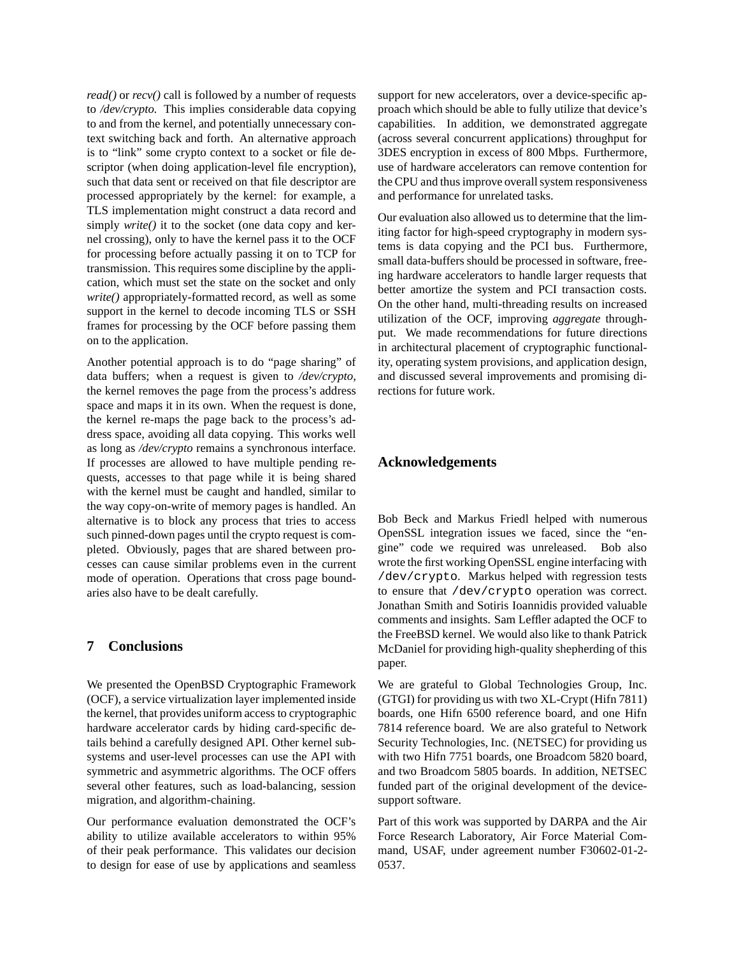*read()* or *recv()* call is followed by a number of requests to */dev/crypto.* This implies considerable data copying to and from the kernel, and potentially unnecessary context switching back and forth. An alternative approach is to "link" some crypto context to a socket or file descriptor (when doing application-level file encryption), such that data sent or received on that file descriptor are processed appropriately by the kernel: for example, a TLS implementation might construct a data record and simply *write()* it to the socket (one data copy and kernel crossing), only to have the kernel pass it to the OCF for processing before actually passing it on to TCP for transmission. This requires some discipline by the application, which must set the state on the socket and only *write()* appropriately-formatted record, as well as some support in the kernel to decode incoming TLS or SSH frames for processing by the OCF before passing them on to the application.

Another potential approach is to do "page sharing" of data buffers; when a request is given to */dev/crypto,* the kernel removes the page from the process's address space and maps it in its own. When the request is done, the kernel re-maps the page back to the process's address space, avoiding all data copying. This works well as long as */dev/crypto* remains a synchronous interface. If processes are allowed to have multiple pending requests, accesses to that page while it is being shared with the kernel must be caught and handled, similar to the way copy-on-write of memory pages is handled. An alternative is to block any process that tries to access such pinned-down pages until the crypto request is completed. Obviously, pages that are shared between processes can cause similar problems even in the current mode of operation. Operations that cross page boundaries also have to be dealt carefully.

# **7 Conclusions**

We presented the OpenBSD Cryptographic Framework (OCF), a service virtualization layer implemented inside the kernel, that provides uniform access to cryptographic hardware accelerator cards by hiding card-specific details behind a carefully designed API. Other kernel subsystems and user-level processes can use the API with symmetric and asymmetric algorithms. The OCF offers several other features, such as load-balancing, session migration, and algorithm-chaining.

Our performance evaluation demonstrated the OCF's ability to utilize available accelerators to within 95% of their peak performance. This validates our decision to design for ease of use by applications and seamless support for new accelerators, over a device-specific approach which should be able to fully utilize that device's capabilities. In addition, we demonstrated aggregate (across several concurrent applications) throughput for 3DES encryption in excess of 800 Mbps. Furthermore, use of hardware accelerators can remove contention for the CPU and thus improve overall system responsiveness and performance for unrelated tasks.

Our evaluation also allowed us to determine that the limiting factor for high-speed cryptography in modern systems is data copying and the PCI bus. Furthermore, small data-buffers should be processed in software, freeing hardware accelerators to handle larger requests that better amortize the system and PCI transaction costs. On the other hand, multi-threading results on increased utilization of the OCF, improving *aggregate* throughput. We made recommendations for future directions in architectural placement of cryptographic functionality, operating system provisions, and application design, and discussed several improvements and promising directions for future work.

# **Acknowledgements**

Bob Beck and Markus Friedl helped with numerous OpenSSL integration issues we faced, since the "engine" code we required was unreleased. Bob also wrote the first working OpenSSL engine interfacing with /dev/crypto. Markus helped with regression tests to ensure that /dev/crypto operation was correct. Jonathan Smith and Sotiris Ioannidis provided valuable comments and insights. Sam Leffler adapted the OCF to the FreeBSD kernel. We would also like to thank Patrick McDaniel for providing high-quality shepherding of this paper.

We are grateful to Global Technologies Group, Inc. (GTGI) for providing us with two XL-Crypt (Hifn 7811) boards, one Hifn 6500 reference board, and one Hifn 7814 reference board. We are also grateful to Network Security Technologies, Inc. (NETSEC) for providing us with two Hifn 7751 boards, one Broadcom 5820 board, and two Broadcom 5805 boards. In addition, NETSEC funded part of the original development of the devicesupport software.

Part of this work was supported by DARPA and the Air Force Research Laboratory, Air Force Material Command, USAF, under agreement number F30602-01-2- 0537.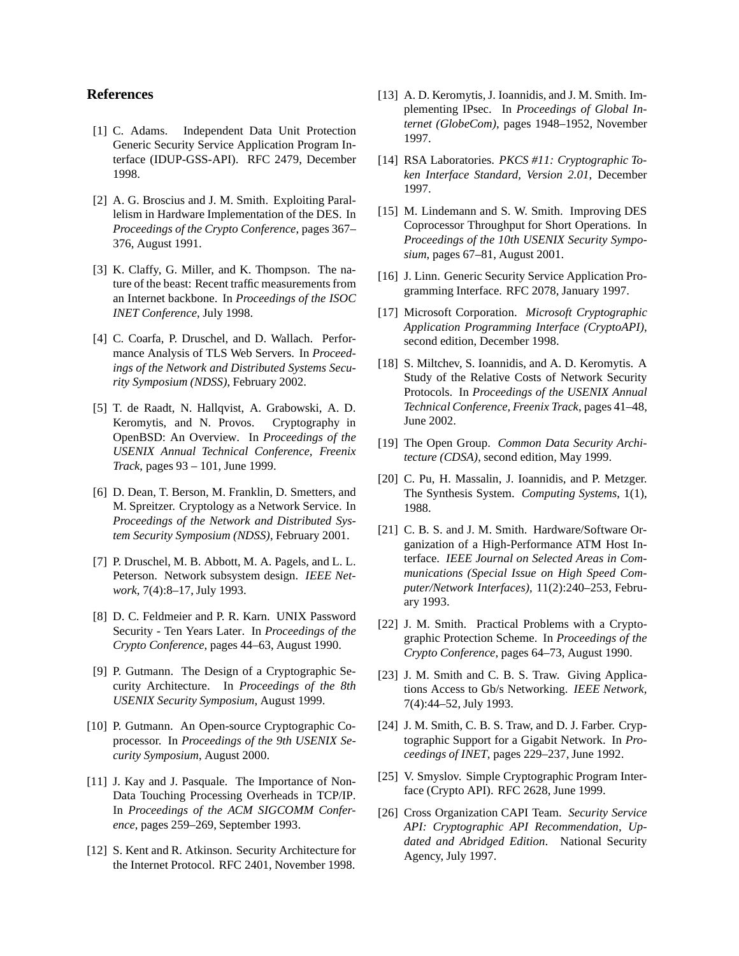# **References**

- [1] C. Adams. Independent Data Unit Protection Generic Security Service Application Program Interface (IDUP-GSS-API). RFC 2479, December 1998.
- [2] A. G. Broscius and J. M. Smith. Exploiting Parallelism in Hardware Implementation of the DES. In *Proceedings of the Crypto Conference*, pages 367– 376, August 1991.
- [3] K. Claffy, G. Miller, and K. Thompson. The nature of the beast: Recent traffic measurements from an Internet backbone. In *Proceedings of the ISOC INET Conference*, July 1998.
- [4] C. Coarfa, P. Druschel, and D. Wallach. Performance Analysis of TLS Web Servers. In *Proceedings of the Network and Distributed Systems Security Symposium (NDSS)*, February 2002.
- [5] T. de Raadt, N. Hallqvist, A. Grabowski, A. D. Keromytis, and N. Provos. Cryptography in OpenBSD: An Overview. In *Proceedings of the USENIX Annual Technical Conference, Freenix Track*, pages 93 – 101, June 1999.
- [6] D. Dean, T. Berson, M. Franklin, D. Smetters, and M. Spreitzer. Cryptology as a Network Service. In *Proceedings of the Network and Distributed System Security Symposium (NDSS)*, February 2001.
- [7] P. Druschel, M. B. Abbott, M. A. Pagels, and L. L. Peterson. Network subsystem design. *IEEE Network*, 7(4):8–17, July 1993.
- [8] D. C. Feldmeier and P. R. Karn. UNIX Password Security - Ten Years Later. In *Proceedings of the Crypto Conference*, pages 44–63, August 1990.
- [9] P. Gutmann. The Design of a Cryptographic Security Architecture. In *Proceedings of the 8th USENIX Security Symposium*, August 1999.
- [10] P. Gutmann. An Open-source Cryptographic Coprocessor. In *Proceedings of the 9th USENIX Security Symposium*, August 2000.
- [11] J. Kay and J. Pasquale. The Importance of Non-Data Touching Processing Overheads in TCP/IP. In *Proceedings of the ACM SIGCOMM Conference*, pages 259–269, September 1993.
- [12] S. Kent and R. Atkinson. Security Architecture for the Internet Protocol. RFC 2401, November 1998.
- [13] A. D. Keromytis, J. Ioannidis, and J. M. Smith. Implementing IPsec. In *Proceedings of Global Internet (GlobeCom)*, pages 1948–1952, November 1997.
- [14] RSA Laboratories. *PKCS #11: Cryptographic Token Interface Standard, Version 2.01*, December 1997.
- [15] M. Lindemann and S. W. Smith. Improving DES Coprocessor Throughput for Short Operations. In *Proceedings of the 10th USENIX Security Symposium*, pages 67–81, August 2001.
- [16] J. Linn. Generic Security Service Application Programming Interface. RFC 2078, January 1997.
- [17] Microsoft Corporation. *Microsoft Cryptographic Application Programming Interface (CryptoAPI)*, second edition, December 1998.
- [18] S. Miltchev, S. Ioannidis, and A. D. Keromytis. A Study of the Relative Costs of Network Security Protocols. In *Proceedings of the USENIX Annual Technical Conference, Freenix Track*, pages 41–48, June 2002.
- [19] The Open Group. *Common Data Security Architecture (CDSA)*, second edition, May 1999.
- [20] C. Pu, H. Massalin, J. Ioannidis, and P. Metzger. The Synthesis System. *Computing Systems*, 1(1), 1988.
- [21] C. B. S. and J. M. Smith. Hardware/Software Organization of a High-Performance ATM Host Interface. *IEEE Journal on Selected Areas in Communications (Special Issue on High Speed Computer/Network Interfaces)*, 11(2):240–253, February 1993.
- [22] J. M. Smith. Practical Problems with a Cryptographic Protection Scheme. In *Proceedings of the Crypto Conference*, pages 64–73, August 1990.
- [23] J. M. Smith and C. B. S. Traw. Giving Applications Access to Gb/s Networking. *IEEE Network*, 7(4):44–52, July 1993.
- [24] J. M. Smith, C. B. S. Traw, and D. J. Farber. Cryptographic Support for a Gigabit Network. In *Proceedings of INET*, pages 229–237, June 1992.
- [25] V. Smyslov. Simple Cryptographic Program Interface (Crypto API). RFC 2628, June 1999.
- [26] Cross Organization CAPI Team. *Security Service API: Cryptographic API Recommendation, Updated and Abridged Edition*. National Security Agency, July 1997.